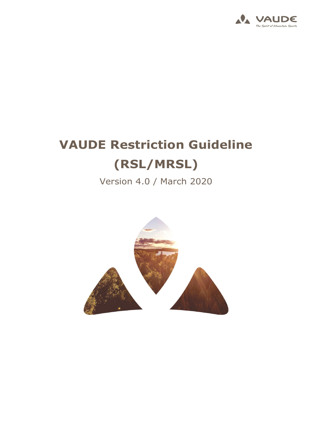

## **VAUDE Restriction Guideline (RSL/MRSL)**

Version 4.0 / March 2020

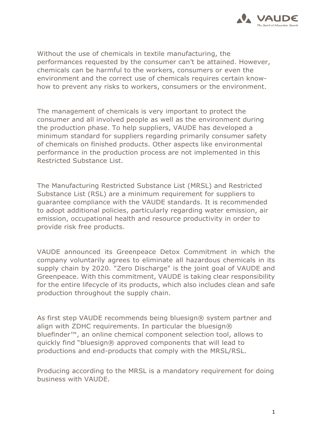

Without the use of chemicals in textile manufacturing, the performances requested by the consumer can't be attained. However, chemicals can be harmful to the workers, consumers or even the environment and the correct use of chemicals requires certain knowhow to prevent any risks to workers, consumers or the environment.

The management of chemicals is very important to protect the consumer and all involved people as well as the environment during the production phase. To help suppliers, VAUDE has developed a minimum standard for suppliers regarding primarily consumer safety of chemicals on finished products. Other aspects like environmental performance in the production process are not implemented in this Restricted Substance List.

The Manufacturing Restricted Substance List (MRSL) and Restricted Substance List (RSL) are a minimum requirement for suppliers to guarantee compliance with the VAUDE standards. It is recommended to adopt additional policies, particularly regarding water emission, air emission, occupational health and resource productivity in order to provide risk free products.

VAUDE announced its Greenpeace Detox Commitment in which the company voluntarily agrees to eliminate all hazardous chemicals in its supply chain by 2020. "Zero Discharge" is the joint goal of VAUDE and Greenpeace. With this commitment, VAUDE is taking clear responsibility for the entire lifecycle of its products, which also includes clean and safe production throughout the supply chain.

As first step VAUDE recommends being bluesign® system partner and align with ZDHC requirements. In particular the bluesign $\circledR$ bluefinder™, an online chemical component selection tool, allows to quickly find "bluesign® approved components that will lead to productions and end-products that comply with the MRSL/RSL.

Producing according to the MRSL is a mandatory requirement for doing business with VAUDE.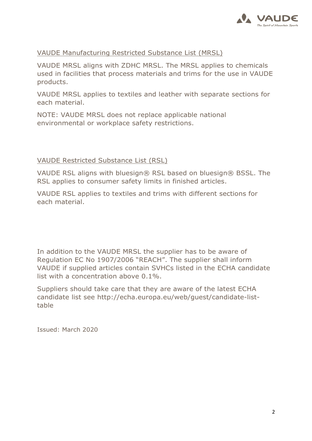

## VAUDE Manufacturing Restricted Substance List (MRSL)

VAUDE MRSL aligns with ZDHC MRSL. The MRSL applies to chemicals used in facilities that process materials and trims for the use in VAUDE products.

VAUDE MRSL applies to textiles and leather with separate sections for each material.

NOTE: VAUDE MRSL does not replace applicable national environmental or workplace safety restrictions.

## VAUDE Restricted Substance List (RSL)

VAUDE RSL aligns with bluesign® RSL based on bluesign® BSSL. The RSL applies to consumer safety limits in finished articles.

VAUDE RSL applies to textiles and trims with different sections for each material.

In addition to the VAUDE MRSL the supplier has to be aware of Regulation EC No 1907/2006 "REACH". The supplier shall inform VAUDE if supplied articles contain SVHCs listed in the ECHA candidate list with a concentration above 0.1%.

Suppliers should take care that they are aware of the latest ECHA candidate list see http://echa.europa.eu/web/guest/candidate-listtable

Issued: March 2020